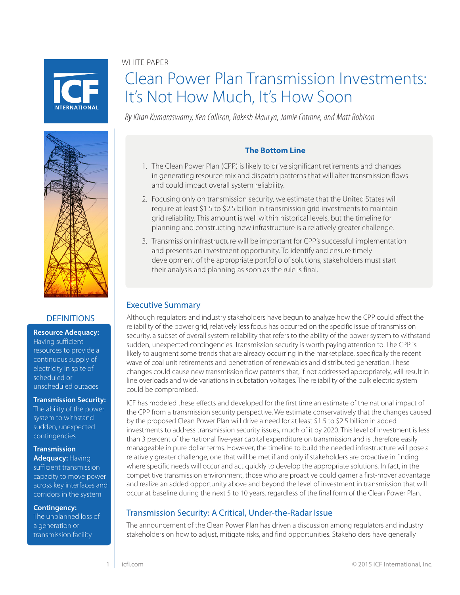WHITE PAPER



# Clean Power Plan Transmission Investments: It's Not How Much, It's How Soon

*By Kiran Kumaraswamy, Ken Collison, Rakesh Maurya, Jamie Cotrone, and Matt Robison*



#### **DEFINITIONS**

**Resource Adequacy:**  Having sufficient resources to provide a continuous supply of electricity in spite of scheduled or unscheduled outages

#### **Transmission Security:**

The ability of the power system to withstand sudden, unexpected contingencies

#### **Transmission**

**Adequacy:** Having sufficient transmission capacity to move power across key interfaces and corridors in the system

**Contingency:** 

The unplanned loss of a generation or transmission facility

#### **The Bottom Line**

- 1. The Clean Power Plan (CPP) is likely to drive significant retirements and changes in generating resource mix and dispatch patterns that will alter transmission flows and could impact overall system reliability.
- 2. Focusing only on transmission security, we estimate that the United States will require at least \$1.5 to \$2.5 billion in transmission grid investments to maintain grid reliability. This amount is well within historical levels, but the timeline for planning and constructing new infrastructure is a relatively greater challenge.
- 3. Transmission infrastructure will be important for CPP's successful implementation and presents an investment opportunity. To identify and ensure timely development of the appropriate portfolio of solutions, stakeholders must start their analysis and planning as soon as the rule is final.

## Executive Summary

Although regulators and industry stakeholders have begun to analyze how the CPP could affect the reliability of the power grid, relatively less focus has occurred on the specific issue of transmission security, a subset of overall system reliability that refers to the ability of the power system to withstand sudden, unexpected contingencies. Transmission security is worth paying attention to: The CPP is likely to augment some trends that are already occurring in the marketplace, specifically the recent wave of coal unit retirements and penetration of renewables and distributed generation. These changes could cause new transmission flow patterns that, if not addressed appropriately, will result in line overloads and wide variations in substation voltages. The reliability of the bulk electric system could be compromised.

ICF has modeled these effects and developed for the first time an estimate of the national impact of the CPP from a transmission security perspective. We estimate conservatively that the changes caused by the proposed Clean Power Plan will drive a need for at least \$1.5 to \$2.5 billion in added investments to address transmission security issues, much of it by 2020. This level of investment is less than 3 percent of the national five-year capital expenditure on transmission and is therefore easily manageable in pure dollar terms. However, the timeline to build the needed infrastructure will pose a relatively greater challenge, one that will be met if and only if stakeholders are proactive in finding where specific needs will occur and act quickly to develop the appropriate solutions. In fact, in the competitive transmission environment, those who are proactive could garner a first-mover advantage and realize an added opportunity above and beyond the level of investment in transmission that will occur at baseline during the next 5 to 10 years, regardless of the final form of the Clean Power Plan.

## Transmission Security: A Critical, Under-the-Radar Issue

The announcement of the Clean Power Plan has driven a discussion among regulators and industry stakeholders on how to adjust, mitigate risks, and find opportunities. Stakeholders have generally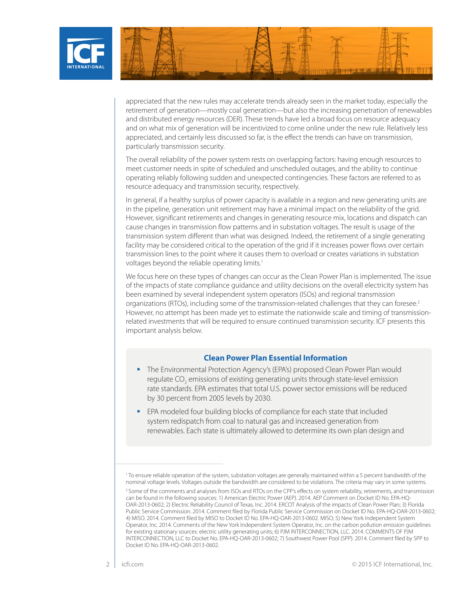

appreciated that the new rules may accelerate trends already seen in the market today, especially the retirement of generation—mostly coal generation—but also the increasing penetration of renewables and distributed energy resources (DER). These trends have led a broad focus on resource adequacy and on what mix of generation will be incentivized to come online under the new rule. Relatively less appreciated, and certainly less discussed so far, is the effect the trends can have on transmission, particularly transmission security.

The overall reliability of the power system rests on overlapping factors: having enough resources to meet customer needs in spite of scheduled and unscheduled outages, and the ability to continue operating reliably following sudden and unexpected contingencies. These factors are referred to as resource adequacy and transmission security, respectively.

In general, if a healthy surplus of power capacity is available in a region and new generating units are in the pipeline, generation unit retirement may have a minimal impact on the reliability of the grid. However, significant retirements and changes in generating resource mix, locations and dispatch can cause changes in transmission flow patterns and in substation voltages. The result is usage of the transmission system different than what was designed. Indeed, the retirement of a single generating facility may be considered critical to the operation of the grid if it increases power flows over certain transmission lines to the point where it causes them to overload or creates variations in substation voltages beyond the reliable operating limits.<sup>1</sup>

We focus here on these types of changes can occur as the Clean Power Plan is implemented. The issue of the impacts of state compliance guidance and utility decisions on the overall electricity system has been examined by several independent system operators (ISOs) and regional transmission organizations (RTOs), including some of the transmission-related challenges that they can foresee.2 However, no attempt has been made yet to estimate the nationwide scale and timing of transmissionrelated investments that will be required to ensure continued transmission security. ICF presents this important analysis below.

#### **Clean Power Plan Essential Information**

- **The Environmental Protection Agency's (EPA's) proposed Clean Power Plan would** regulate CO<sub>2</sub> emissions of existing generating units through state-level emission rate standards. EPA estimates that total U.S. power sector emissions will be reduced by 30 percent from 2005 levels by 2030.
- EPA modeled four building blocks of compliance for each state that included system redispatch from coal to natural gas and increased generation from renewables. Each state is ultimately allowed to determine its own plan design and

<sup>1</sup> To ensure reliable operation of the system, substation voltages are generally maintained within a 5 percent bandwidth of the nominal voltage levels. Voltages outside the bandwidth are considered to be violations. The criteria may vary in some systems.

<sup>2</sup> Some of the comments and analyses from ISOs and RTOs on the CPP's effects on system reliability, retirements, and transmission can be found in the following sources: 1) American Electric Power (AEP). 2014. AEP Comment on Docket ID No. EPA-HQ-OAR-2013-0602; 2) Electric Reliability Council of Texas, Inc. 2014. ERCOT Analysis of the impacts of Clean Power Plan; 3) Florida Public Service Commission. 2014. Comment filed by Florida Public Service Commission on Docket ID No. EPA-HQ-OAR-2013-0602; 4) MISO. 2014. Comment filed by MISO to Docket ID No. EPA-HQ-OAR-2013-0602. MISO; 5) New York Independent System Operator, Inc. 2014. Comments of the New York Independent System Operator, Inc. on the carbon pollution emission guidelines for existing stationary sources: electric utility generating units; 6) PJM INTERCONNECTION, LLC. 2014. COMMENTS OF PJM INTERCONNECTION, LLC to Docket No. EPA-HQ-OAR-2013-0602; 7) Southwest Power Pool (SPP). 2014. Comment filed by SPP to Docket ID No. EPA-HQ-OAR-2013-0602.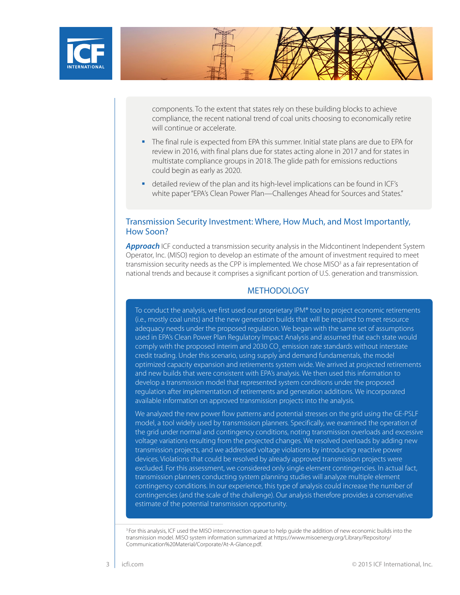

components. To the extent that states rely on these building blocks to achieve compliance, the recent national trend of coal units choosing to economically retire will continue or accelerate.

- The final rule is expected from EPA this summer. Initial state plans are due to EPA for review in 2016, with final plans due for states acting alone in 2017 and for states in multistate compliance groups in 2018. The glide path for emissions reductions could begin as early as 2020.
- detailed review of the plan and its high-level implications can be found in ICF's white paper "EPA's Clean Power Plan—Challenges Ahead for Sources and States."

#### Transmission Security Investment: Where, How Much, and Most Importantly, How Soon?

**Approach** ICF conducted a transmission security analysis in the Midcontinent Independent System Operator, Inc. (MISO) region to develop an estimate of the amount of investment required to meet transmission security needs as the CPP is implemented. We chose MISO<sup>3</sup> as a fair representation of national trends and because it comprises a significant portion of U.S. generation and transmission.

#### **METHODOLOGY**

To conduct the analysis, we first used our proprietary IPM® tool to project economic retirements (i.e., mostly coal units) and the new generation builds that will be required to meet resource adequacy needs under the proposed regulation. We began with the same set of assumptions used in EPA's Clean Power Plan Regulatory Impact Analysis and assumed that each state would comply with the proposed interim and 2030 CO<sub>2</sub> emission rate standards without interstate credit trading. Under this scenario, using supply and demand fundamentals, the model optimized capacity expansion and retirements system wide. We arrived at projected retirements and new builds that were consistent with EPA's analysis. We then used this information to develop a transmission model that represented system conditions under the proposed regulation after implementation of retirements and generation additions. We incorporated available information on approved transmission projects into the analysis.

We analyzed the new power flow patterns and potential stresses on the grid using the GE-PSLF model, a tool widely used by transmission planners. Specifically, we examined the operation of the grid under normal and contingency conditions, noting transmission overloads and excessive voltage variations resulting from the projected changes. We resolved overloads by adding new transmission projects, and we addressed voltage violations by introducing reactive power devices. Violations that could be resolved by already approved transmission projects were excluded. For this assessment, we considered only single element contingencies. In actual fact, transmission planners conducting system planning studies will analyze multiple element contingency conditions. In our experience, this type of analysis could increase the number of contingencies (and the scale of the challenge). Our analysis therefore provides a conservative estimate of the potential transmission opportunity.

<sup>3</sup> For this analysis, ICF used the MISO interconnection queue to help quide the addition of new economic builds into the [transmission model. MISO system information summarized at https://www.misoenergy.org/Library/Repository/](https://www.misoenergy.org/Library/Repository/Communication%20Material/Corporate/At-A-Glance.pdf) Communication%20Material/Corporate/At-A-Glance.pdf.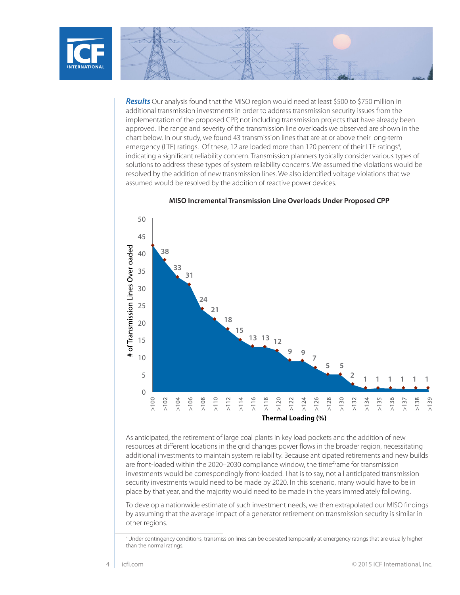

*Results* Our analysis found that the MISO region would need at least \$500 to \$750 million in additional transmission investments in order to address transmission security issues from the implementation of the proposed CPP, not including transmission projects that have already been approved. The range and severity of the transmission line overloads we observed are shown in the chart below. In our study, we found 43 transmission lines that are at or above their long-term emergency (LTE) ratings. Of these, 12 are loaded more than 120 percent of their LTE ratings<sup>4</sup>, indicating a significant reliability concern. Transmission planners typically consider various types of solutions to address these types of system reliability concerns. We assumed the violations would be resolved by the addition of new transmission lines. We also identified voltage violations that we assumed would be resolved by the addition of reactive power devices.



**MISO Incremental Transmission Line Overloads Under Proposed CPP**

As anticipated, the retirement of large coal plants in key load pockets and the addition of new resources at different locations in the grid changes power flows in the broader region, necessitating additional investments to maintain system reliability. Because anticipated retirements and new builds are front-loaded within the 2020–2030 compliance window, the timeframe for transmission investments would be correspondingly front-loaded. That is to say, not all anticipated transmission security investments would need to be made by 2020. In this scenario, many would have to be in place by that year, and the majority would need to be made in the years immediately following.

To develop a nationwide estimate of such investment needs, we then extrapolated our MISO findings by assuming that the average impact of a generator retirement on transmission security is similar in other regions.

<sup>4</sup> Under contingency conditions, transmission lines can be operated temporarily at emergency ratings that are usually higher than the normal ratings.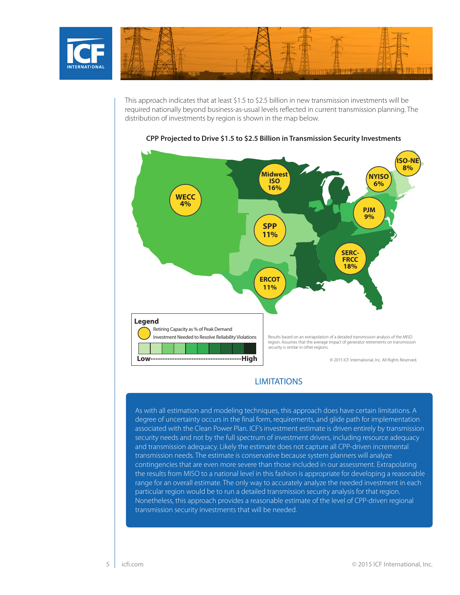

This approach indicates that at least \$1.5 to \$2.5 billion in new transmission investments will be required nationally beyond business-as-usual levels reflected in current transmission planning. The distribution of investments by region is shown in the map below.



#### **CPP Projected to Drive \$1.5 to \$2.5 Billion in Transmission Security Investments**

#### **LIMITATIONS**

As with all estimation and modeling techniques, this approach does have certain limitations. A degree of uncertainty occurs in the final form, requirements, and glide path for implementation associated with the Clean Power Plan. ICF's investment estimate is driven entirely by transmission security needs and not by the full spectrum of investment drivers, including resource adequacy and transmission adequacy. Likely the estimate does not capture all CPP-driven incremental transmission needs. The estimate is conservative because system planners will analyze contingencies that are even more severe than those included in our assessment. Extrapolating the results from MISO to a national level in this fashion is appropriate for developing a reasonable range for an overall estimate. The only way to accurately analyze the needed investment in each particular region would be to run a detailed transmission security analysis for that region. Nonetheless, this approach provides a reasonable estimate of the level of CPP-driven regional transmission security investments that will be needed.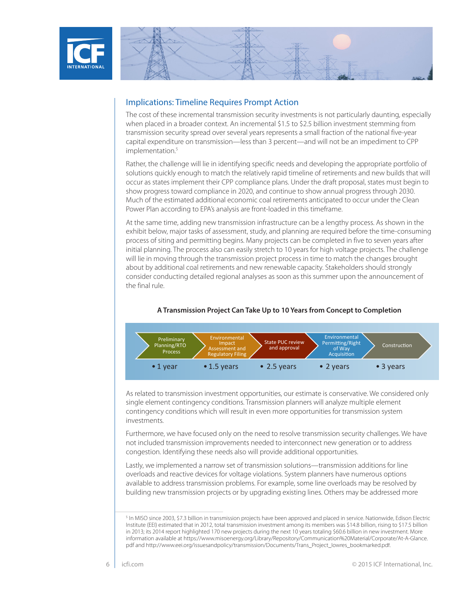



#### Implications: Timeline Requires Prompt Action

The cost of these incremental transmission security investments is not particularly daunting, especially when placed in a broader context. An incremental \$1.5 to \$2.5 billion investment stemming from transmission security spread over several years represents a small fraction of the national five-year capital expenditure on transmission—less than 3 percent—and will not be an impediment to CPP implementation.<sup>5</sup>

Rather, the challenge will lie in identifying specific needs and developing the appropriate portfolio of solutions quickly enough to match the relatively rapid timeline of retirements and new builds that will occur as states implement their CPP compliance plans. Under the draft proposal, states must begin to show progress toward compliance in 2020, and continue to show annual progress through 2030. Much of the estimated additional economic coal retirements anticipated to occur under the Clean Power Plan according to EPA's analysis are front-loaded in this timeframe.

At the same time, adding new transmission infrastructure can be a lengthy process. As shown in the exhibit below, major tasks of assessment, study, and planning are required before the time-consuming process of siting and permitting begins. Many projects can be completed in five to seven years after initial planning. The process also can easily stretch to 10 years for high voltage projects. The challenge will lie in moving through the transmission project process in time to match the changes brought about by additional coal retirements and new renewable capacity. Stakeholders should strongly consider conducting detailed regional analyses as soon as this summer upon the announcement of the final rule.



#### **A Transmission Project Can Take Up to 10 Years from Concept to Completion**

As related to transmission investment opportunities, our estimate is conservative. We considered only single element contingency conditions. Transmission planners will analyze multiple element contingency conditions which will result in even more opportunities for transmission system investments.

Furthermore, we have focused only on the need to resolve transmission security challenges. We have not included transmission improvements needed to interconnect new generation or to address congestion. Identifying these needs also will provide additional opportunities.

Lastly, we implemented a narrow set of transmission solutions—transmission additions for line overloads and reactive devices for voltage violations. System planners have numerous options available to address transmission problems. For example, some line overloads may be resolved by building new transmission projects or by upgrading existing lines. Others may be addressed more

<sup>&</sup>lt;sup>5</sup> In MISO since 2003, \$7.3 billion in transmission projects have been approved and placed in service. Nationwide, Edison Electric Institute (EEI) estimated that in 2012, total transmission investment among its members was \$14.8 billion, rising to \$17.5 billion in 2013; its 2014 report highlighted 170 new projects during the next 10 years totaling \$60.6 billion in new investment. More information available at [https://www.misoenergy.org/Library/Repository/Communication%20Material/Corporate/At-A-Glance.](https://www.misoenergy.org/Library/Repository/Communication%20Material/Corporate/At-A-Glance.pdf) pdf and [http://www.eei.org/issuesandpolicy/transmission/Documents/Trans\\_Project\\_lowres\\_bookmarked.pdf.](http://www.eei.org/issuesandpolicy/transmission/Documents/Trans_Project_lowres_bookmarked.pdf)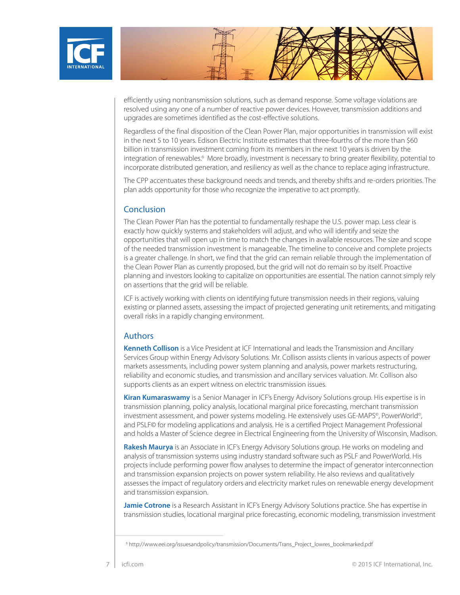

efficiently using nontransmission solutions, such as demand response. Some voltage violations are resolved using any one of a number of reactive power devices. However, transmission additions and upgrades are sometimes identified as the cost-effective solutions.

Regardless of the final disposition of the Clean Power Plan, major opportunities in transmission will exist in the next 5 to 10 years. Edison Electric Institute estimates that three-fourths of the more than \$60 billion in transmission investment coming from its members in the next 10 years is driven by the integration of renewables.<sup>6</sup> More broadly, investment is necessary to bring greater flexibility, potential to incorporate distributed generation, and resiliency as well as the chance to replace aging infrastructure.

The CPP accentuates these background needs and trends, and thereby shifts and re-orders priorities. The plan adds opportunity for those who recognize the imperative to act promptly.

#### **Conclusion**

The Clean Power Plan has the potential to fundamentally reshape the U.S. power map. Less clear is exactly how quickly systems and stakeholders will adjust, and who will identify and seize the opportunities that will open up in time to match the changes in available resources. The size and scope of the needed transmission investment is manageable. The timeline to conceive and complete projects is a greater challenge. In short, we find that the grid can remain reliable through the implementation of the Clean Power Plan as currently proposed, but the grid will not do remain so by itself. Proactive planning and investors looking to capitalize on opportunities are essential. The nation cannot simply rely on assertions that the grid will be reliable.

ICF is actively working with clients on identifying future transmission needs in their regions, valuing existing or planned assets, assessing the impact of projected generating unit retirements, and mitigating overall risks in a rapidly changing environment.

#### Authors

**Kenneth Collison** is a Vice President at ICF International and leads the Transmission and Ancillary Services Group within Energy Advisory Solutions. Mr. Collison assists clients in various aspects of power markets assessments, including power system planning and analysis, power markets restructuring, reliability and economic studies, and transmission and ancillary services valuation. Mr. Collison also supports clients as an expert witness on electric transmission issues.

**Kiran Kumaraswamy** is a Senior Manager in ICF's Energy Advisory Solutions group. His expertise is in transmission planning, policy analysis, locational marginal price forecasting, merchant transmission investment assessment, and power systems modeling. He extensively uses GE-MAPS<sup>®</sup>, PowerWorld<sup>®</sup>, and PSLF© for modeling applications and analysis. He is a certified Project Management Professional and holds a Master of Science degree in Electrical Engineering from the University of Wisconsin, Madison.

**Rakesh Maurya** is an Associate in ICF's Energy Advisory Solutions group. He works on modeling and analysis of transmission systems using industry standard software such as PSLF and PowerWorld. His projects include performing power flow analyses to determine the impact of generator interconnection and transmission expansion projects on power system reliability. He also reviews and qualitatively assesses the impact of regulatory orders and electricity market rules on renewable energy development and transmission expansion.

**Jamie Cotrone** is a Research Assistant in ICF's Energy Advisory Solutions practice. She has expertise in transmission studies, locational marginal price forecasting, economic modeling, transmission investment

<sup>6</sup> http://www.eei.org/issuesandpolicy/transmission/Documents/Trans\_Project\_lowres\_bookmarked.pdf